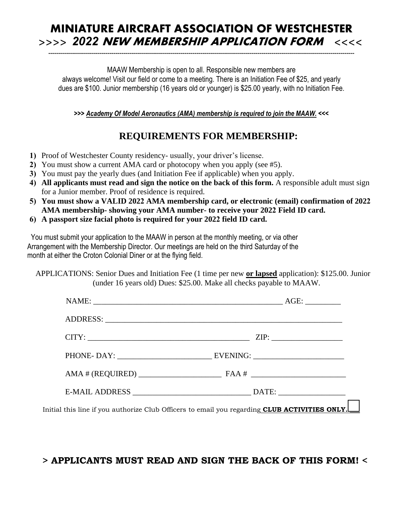## **MINIATURE AIRCRAFT ASSOCIATION OF WESTCHESTER >>>>** *2022* **NEW MEMBERSHIP APPLICATION FORM <<<<**

-----------------------------------------------------------------------------------------------------------------------------------------------------------

MAAW Membership is open to all. Responsible new members are always welcome! Visit our field or come to a meeting. There is an Initiation Fee of \$25, and yearly dues are \$100. Junior membership (16 years old or younger) is \$25.00 yearly, with no Initiation Fee.

**>>>** *Academy Of Model Aeronautics (AMA) membership is required to join the MAAW.* **<<<**

## **REQUIREMENTS FOR MEMBERSHIP:**

- **1)** Proof of Westchester County residency- usually, your driver's license.
- **2)** You must show a current AMA card or photocopy when you apply (see #5).
- **3)** You must pay the yearly dues (and Initiation Fee if applicable) when you apply.
- **4) All applicants must read and sign the notice on the back of this form.** A responsible adult must sign for a Junior member. Proof of residence is required.
- **5) You must show a VALID 2022 AMA membership card, or electronic (email) confirmation of 2022 AMA membership- showing your AMA number- to receive your 2022 Field ID card.**
- **6) A passport size facial photo is required for your 2022 field ID card.**

 You must submit your application to the MAAW in person at the monthly meeting, or via other Arrangement with the Membership Director. Our meetings are held on the third Saturday of the month at either the Croton Colonial Diner or at the flying field.

 APPLICATIONS: Senior Dues and Initiation Fee (1 time per new **or lapsed** application): \$125.00. Junior (under 16 years old) Dues: \$25.00. Make all checks payable to MAAW.

|                                                                                                          | ADDRESS: Land Contract Contract Contract Contract Contract Contract Contract Contract Contract Contract Contract Contract Contract Contract Contract Contract Contract Contract Contract Contract Contract Contract Contract C |
|----------------------------------------------------------------------------------------------------------|--------------------------------------------------------------------------------------------------------------------------------------------------------------------------------------------------------------------------------|
|                                                                                                          |                                                                                                                                                                                                                                |
|                                                                                                          |                                                                                                                                                                                                                                |
|                                                                                                          |                                                                                                                                                                                                                                |
|                                                                                                          |                                                                                                                                                                                                                                |
| Initial this line if you authorize Club Officers to email you regarding <b>CLUB ACTIVITIES ONLY.</b> ___ |                                                                                                                                                                                                                                |

### **> APPLICANTS MUST READ AND SIGN THE BACK OF THIS FORM! <**